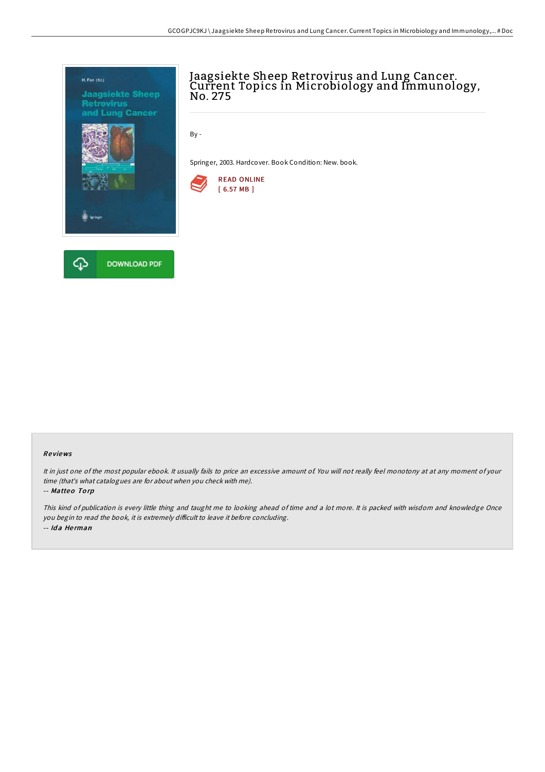

# Jaagsiekte Sheep Retrovirus and Lung Cancer. Current Topics in Microbiology and Immunology,<br>No. 275

By -

Springer, 2003. Hardcover. Book Condition: New. book.



## Re views

It in just one of the most popular ebook. It usually fails to price an excessive amount of. You will not really feel monotony at at any moment of your time (that's what catalogues are for about when you check with me).

-- Matteo To rp

This kind of publication is every little thing and taught me to looking ahead of time and <sup>a</sup> lot more. It is packed with wisdom and knowledge Once you begin to read the book, it is extremely difficult to leave it before concluding. -- Ida Herman